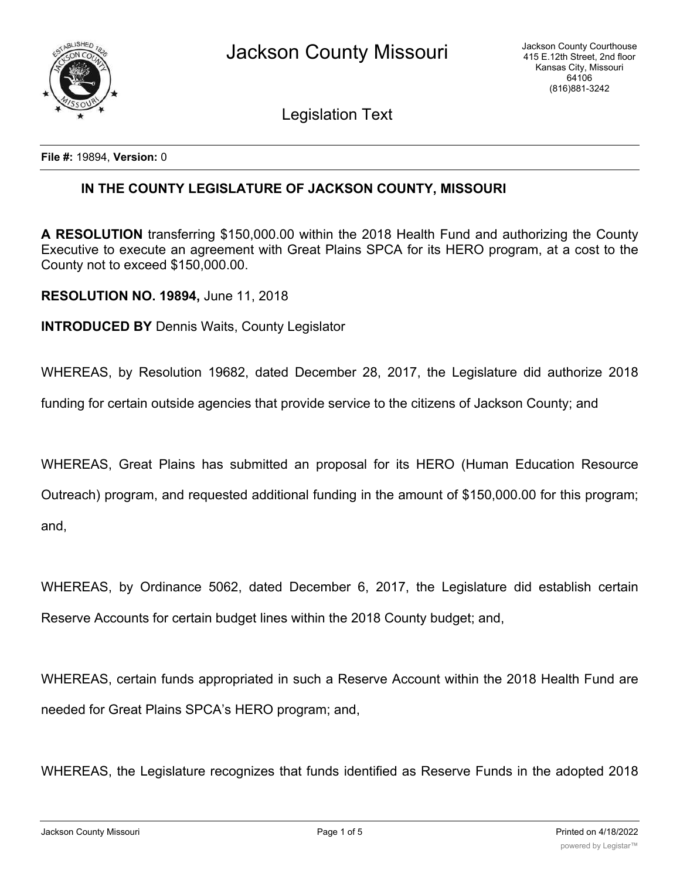

Legislation Text

**File #:** 19894, **Version:** 0

## **IN THE COUNTY LEGISLATURE OF JACKSON COUNTY, MISSOURI**

**A RESOLUTION** transferring \$150,000.00 within the 2018 Health Fund and authorizing the County Executive to execute an agreement with Great Plains SPCA for its HERO program, at a cost to the County not to exceed \$150,000.00.

**RESOLUTION NO. 19894,** June 11, 2018

**INTRODUCED BY** Dennis Waits, County Legislator

WHEREAS, by Resolution 19682, dated December 28, 2017, the Legislature did authorize 2018

funding for certain outside agencies that provide service to the citizens of Jackson County; and

WHEREAS, Great Plains has submitted an proposal for its HERO (Human Education Resource Outreach) program, and requested additional funding in the amount of \$150,000.00 for this program; and,

WHEREAS, by Ordinance 5062, dated December 6, 2017, the Legislature did establish certain Reserve Accounts for certain budget lines within the 2018 County budget; and,

WHEREAS, certain funds appropriated in such a Reserve Account within the 2018 Health Fund are needed for Great Plains SPCA's HERO program; and,

WHEREAS, the Legislature recognizes that funds identified as Reserve Funds in the adopted 2018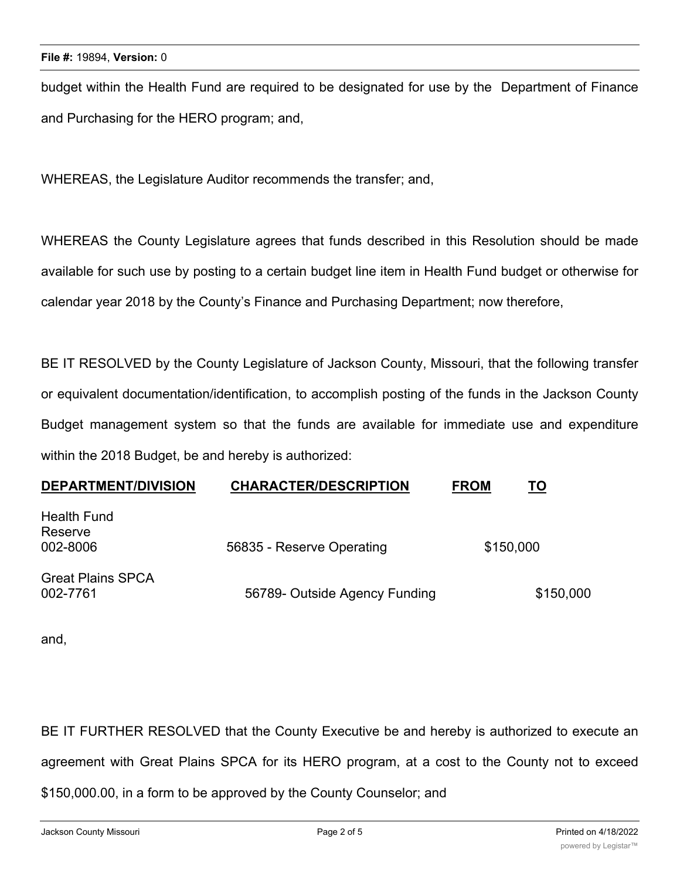budget within the Health Fund are required to be designated for use by the Department of Finance and Purchasing for the HERO program; and,

WHEREAS, the Legislature Auditor recommends the transfer; and,

WHEREAS the County Legislature agrees that funds described in this Resolution should be made available for such use by posting to a certain budget line item in Health Fund budget or otherwise for calendar year 2018 by the County's Finance and Purchasing Department; now therefore,

BE IT RESOLVED by the County Legislature of Jackson County, Missouri, that the following transfer or equivalent documentation/identification, to accomplish posting of the funds in the Jackson County Budget management system so that the funds are available for immediate use and expenditure within the 2018 Budget, be and hereby is authorized:

| <b>DEPARTMENT/DIVISION</b>                | <b>CHARACTER/DESCRIPTION</b>  | <b>FROM</b><br>ΤO |
|-------------------------------------------|-------------------------------|-------------------|
| <b>Health Fund</b><br>Reserve<br>002-8006 | 56835 - Reserve Operating     | \$150,000         |
| <b>Great Plains SPCA</b><br>002-7761      | 56789- Outside Agency Funding | \$150,000         |

and,

BE IT FURTHER RESOLVED that the County Executive be and hereby is authorized to execute an agreement with Great Plains SPCA for its HERO program, at a cost to the County not to exceed \$150,000.00, in a form to be approved by the County Counselor; and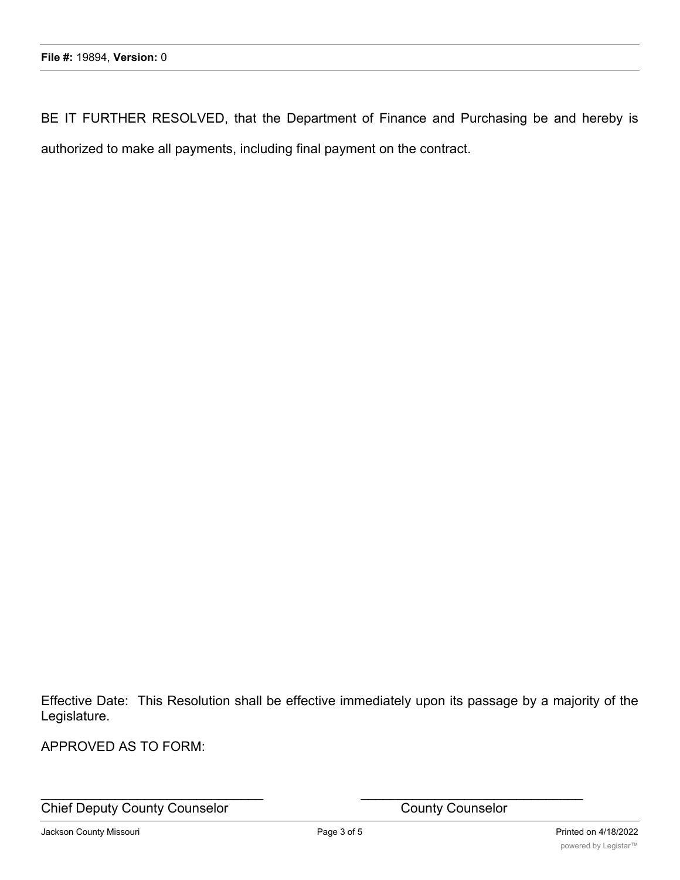BE IT FURTHER RESOLVED, that the Department of Finance and Purchasing be and hereby is authorized to make all payments, including final payment on the contract.

Effective Date: This Resolution shall be effective immediately upon its passage by a majority of the Legislature.

APPROVED AS TO FORM:

Chief Deputy County Counselor County Counselor

 $\mathcal{L}_\text{max}$  , and the contribution of the contribution of the contribution of the contribution of the contribution of the contribution of the contribution of the contribution of the contribution of the contribution of t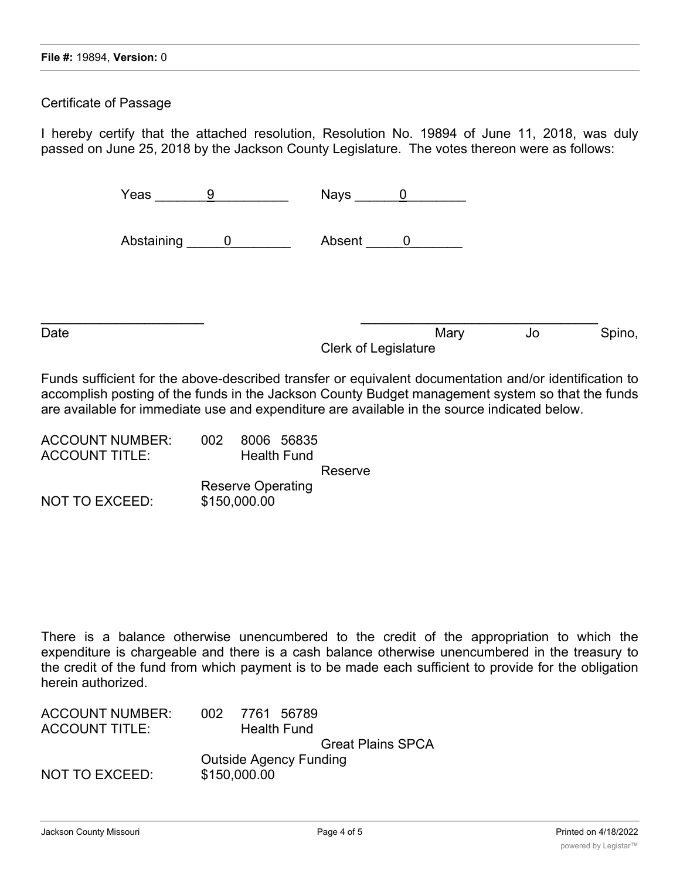Certificate of Passage

I hereby certify that the attached resolution, Resolution No. 19894 of June 11, 2018, was duly passed on June 25, 2018 by the Jackson County Legislature. The votes thereon were as follows:

|      | Yeas<br>9       | Nays <u>_______ 0</u> |      |    |        |
|------|-----------------|-----------------------|------|----|--------|
|      | Abstaining<br>0 | Absent                |      |    |        |
| Date |                 |                       | Mary | Jo | Spino, |
|      |                 | Clerk of Legislature  |      |    |        |

Funds sufficient for the above-described transfer or equivalent documentation and/or identification to accomplish posting of the funds in the Jackson County Budget management system so that the funds are available for immediate use and expenditure are available in the source indicated below.

| <b>ACCOUNT NUMBER:</b> | 002 |                          | 8006 56835         |         |
|------------------------|-----|--------------------------|--------------------|---------|
| <b>ACCOUNT TITLE:</b>  |     |                          | <b>Health Fund</b> |         |
|                        |     |                          |                    | Reserve |
|                        |     | <b>Reserve Operating</b> |                    |         |
| NOT TO EXCEED:         |     | \$150,000.00             |                    |         |

There is a balance otherwise unencumbered to the credit of the appropriation to which the expenditure is chargeable and there is a cash balance otherwise unencumbered in the treasury to the credit of the fund from which payment is to be made each sufficient to provide for the obligation herein authorized.

| 002 7761 56789                |  |
|-------------------------------|--|
| <b>Health Fund</b>            |  |
| <b>Great Plains SPCA</b>      |  |
| <b>Outside Agency Funding</b> |  |
| \$150,000.00                  |  |
|                               |  |